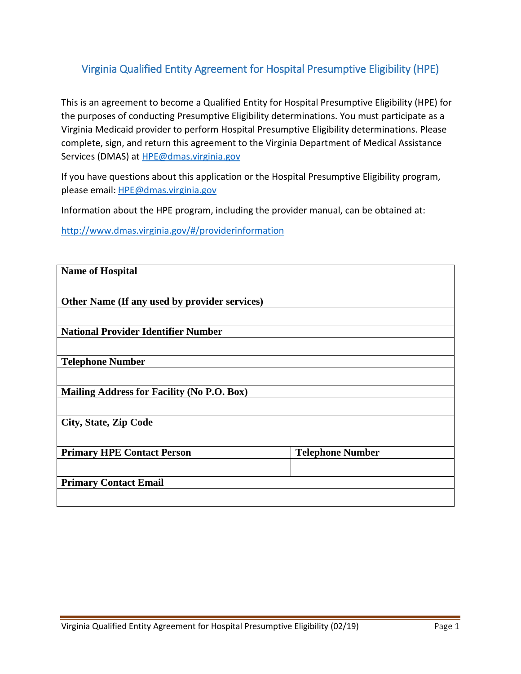## Virginia Qualified Entity Agreement for Hospital Presumptive Eligibility (HPE)

This is an agreement to become a Qualified Entity for Hospital Presumptive Eligibility (HPE) for the purposes of conducting Presumptive Eligibility determinations. You must participate as a Virginia Medicaid provider to perform Hospital Presumptive Eligibility determinations. Please complete, sign, and return this agreement to the Virginia Department of Medical Assistance Services (DMAS) at HPE@dmas.virginia.gov

If you have questions about this application or the Hospital Presumptive Eligibility program, please email: HPE@dmas.virginia.gov

Information about the HPE program, including the provider manual, can be obtained at:

http://www.dmas.virginia.gov/#/providerinformation

| <b>Name of Hospital</b>                       |                         |  |
|-----------------------------------------------|-------------------------|--|
|                                               |                         |  |
| Other Name (If any used by provider services) |                         |  |
|                                               |                         |  |
| <b>National Provider Identifier Number</b>    |                         |  |
|                                               |                         |  |
| <b>Telephone Number</b>                       |                         |  |
|                                               |                         |  |
| Mailing Address for Facility (No P.O. Box)    |                         |  |
|                                               |                         |  |
| <b>City, State, Zip Code</b>                  |                         |  |
|                                               |                         |  |
| <b>Primary HPE Contact Person</b>             | <b>Telephone Number</b> |  |
|                                               |                         |  |
| <b>Primary Contact Email</b>                  |                         |  |
|                                               |                         |  |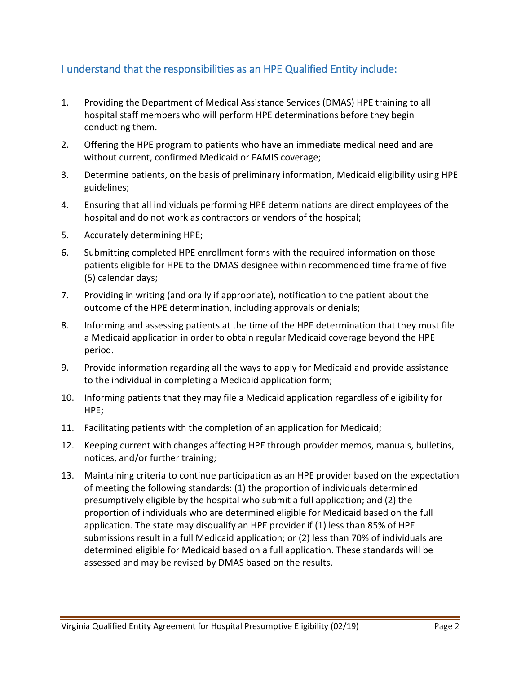## I understand that the responsibilities as an HPE Qualified Entity include:

- 1. Providing the Department of Medical Assistance Services (DMAS) HPE training to all hospital staff members who will perform HPE determinations before they begin conducting them.
- 2. Offering the HPE program to patients who have an immediate medical need and are without current, confirmed Medicaid or FAMIS coverage;
- 3. Determine patients, on the basis of preliminary information, Medicaid eligibility using HPE guidelines;
- 4. Ensuring that all individuals performing HPE determinations are direct employees of the hospital and do not work as contractors or vendors of the hospital;
- 5. Accurately determining HPE;
- 6. Submitting completed HPE enrollment forms with the required information on those patients eligible for HPE to the DMAS designee within recommended time frame of five (5) calendar days;
- 7. Providing in writing (and orally if appropriate), notification to the patient about the outcome of the HPE determination, including approvals or denials;
- 8. Informing and assessing patients at the time of the HPE determination that they must file a Medicaid application in order to obtain regular Medicaid coverage beyond the HPE period.
- 9. Provide information regarding all the ways to apply for Medicaid and provide assistance to the individual in completing a Medicaid application form;
- 10. Informing patients that they may file a Medicaid application regardless of eligibility for HPE;
- 11. Facilitating patients with the completion of an application for Medicaid;
- 12. Keeping current with changes affecting HPE through provider memos, manuals, bulletins, notices, and/or further training;
- 13. Maintaining criteria to continue participation as an HPE provider based on the expectation of meeting the following standards: (1) the proportion of individuals determined presumptively eligible by the hospital who submit a full application; and (2) the proportion of individuals who are determined eligible for Medicaid based on the full application. The state may disqualify an HPE provider if (1) less than 85% of HPE submissions result in a full Medicaid application; or (2) less than 70% of individuals are determined eligible for Medicaid based on a full application. These standards will be assessed and may be revised by DMAS based on the results.